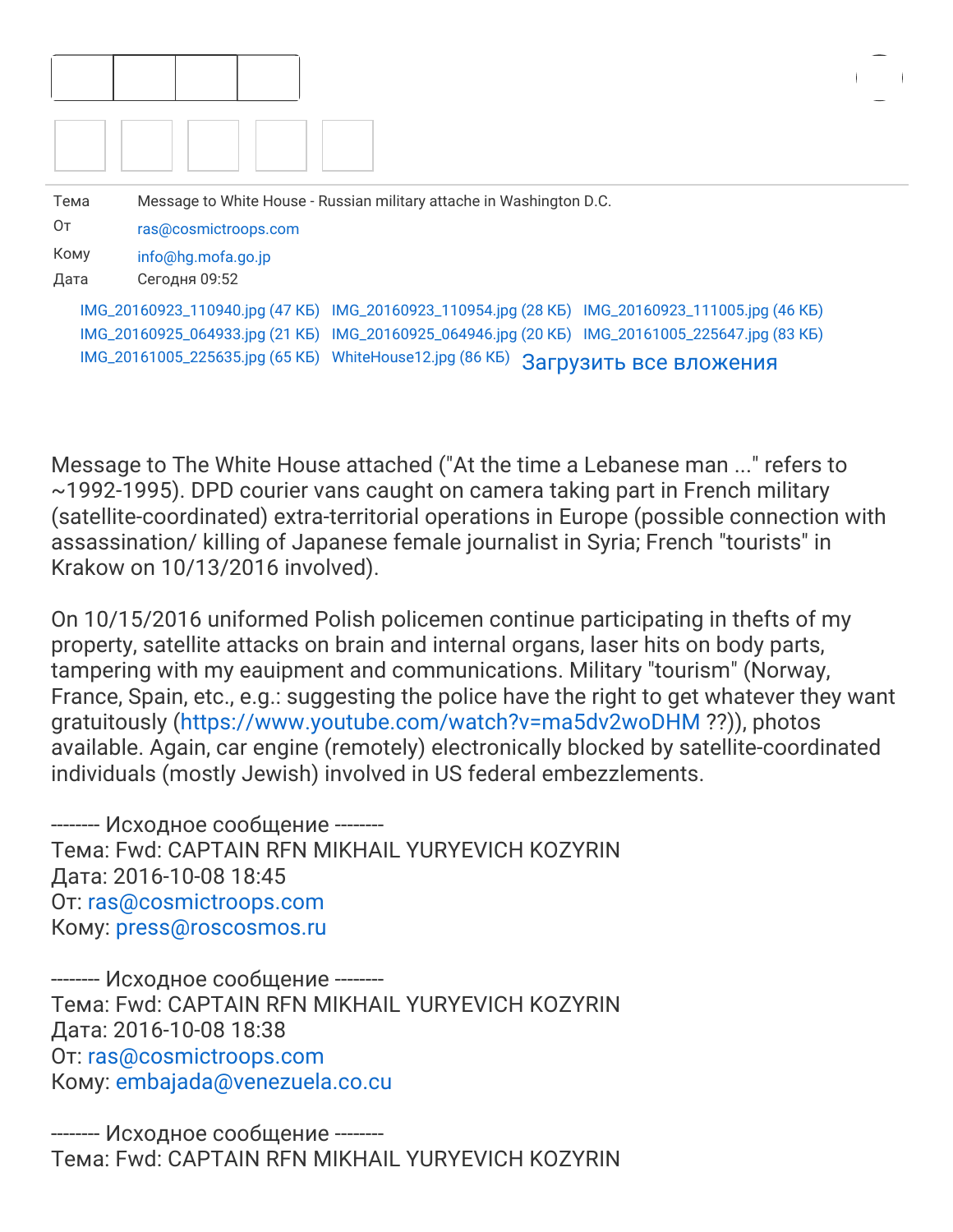| Тема | Message to White House - Russian military attache in Washington D.C.                            |  |
|------|-------------------------------------------------------------------------------------------------|--|
| Oт   | ras@cosmictroops.com                                                                            |  |
| Кому | info@hg.mofa.go.jp                                                                              |  |
| Дата | Сегодня 09:52                                                                                   |  |
|      | IMG_20160923_110940.jpg (47 KB) IMG_20160923_110954.jpg (28 KB) IMG_20160923_111005.jpg (46 KB) |  |
|      | IMG_20160925_064933.jpg (21 KB) IMG_20160925_064946.jpg (20 KB) IMG_20161005_225647.jpg (83 KB) |  |
|      | IMG_20161005_225635.jpg (65 KB) WhiteHouse12.jpg (86 KB)<br>Загрузить все вложения              |  |

Message to The White House attached ("At the time a Lebanese man ..." refers to ~1992-1995). DPD courier vans caught on camera taking part in French military (satellite-coordinated) extra-territorial operations in Europe (possible connection with assassination/ killing of Japanese female journalist in Syria; French "tourists" in Krakow on 10/13/2016 involved).

On 10/15/2016 uniformed Polish policemen continue participating in thefts of my property, satellite attacks on brain and internal organs, laser hits on body parts, tampering with my eauipment and communications. Military "tourism" (Norway, France, Spain, etc., e.g.: suggesting the police have the right to get whatever they want gratuitously (<https://www.youtube.com/watch?v=ma5dv2woDHM> ??)), photos available. Again, car engine (remotely) electronically blocked by satellite-coordinated individuals (mostly Jewish) involved in US federal embezzlements.

-------- Исходное сообщение -------- Тема: Fwd: CAPTAIN RFN MIKHAIL YURYEVICH KOZYRIN Дата: 2016-10-08 18:45 От: [ras@cosmictroops.com](mailto:ras@cosmictroops.com) Кому: [press@roscosmos.ru](mailto:press@roscosmos.ru)

-------- Исходное сообщение -------- Тема: Fwd: CAPTAIN RFN MIKHAIL YURYEVICH KOZYRIN Дата: 2016-10-08 18:38 От: [ras@cosmictroops.com](mailto:ras@cosmictroops.com) Кому: [embajada@venezuela.co.cu](mailto:embajada@venezuela.co.cu)

-------- Исходное сообщение -------- Тема: Fwd: CAPTAIN RFN MIKHAIL YURYEVICH KOZYRIN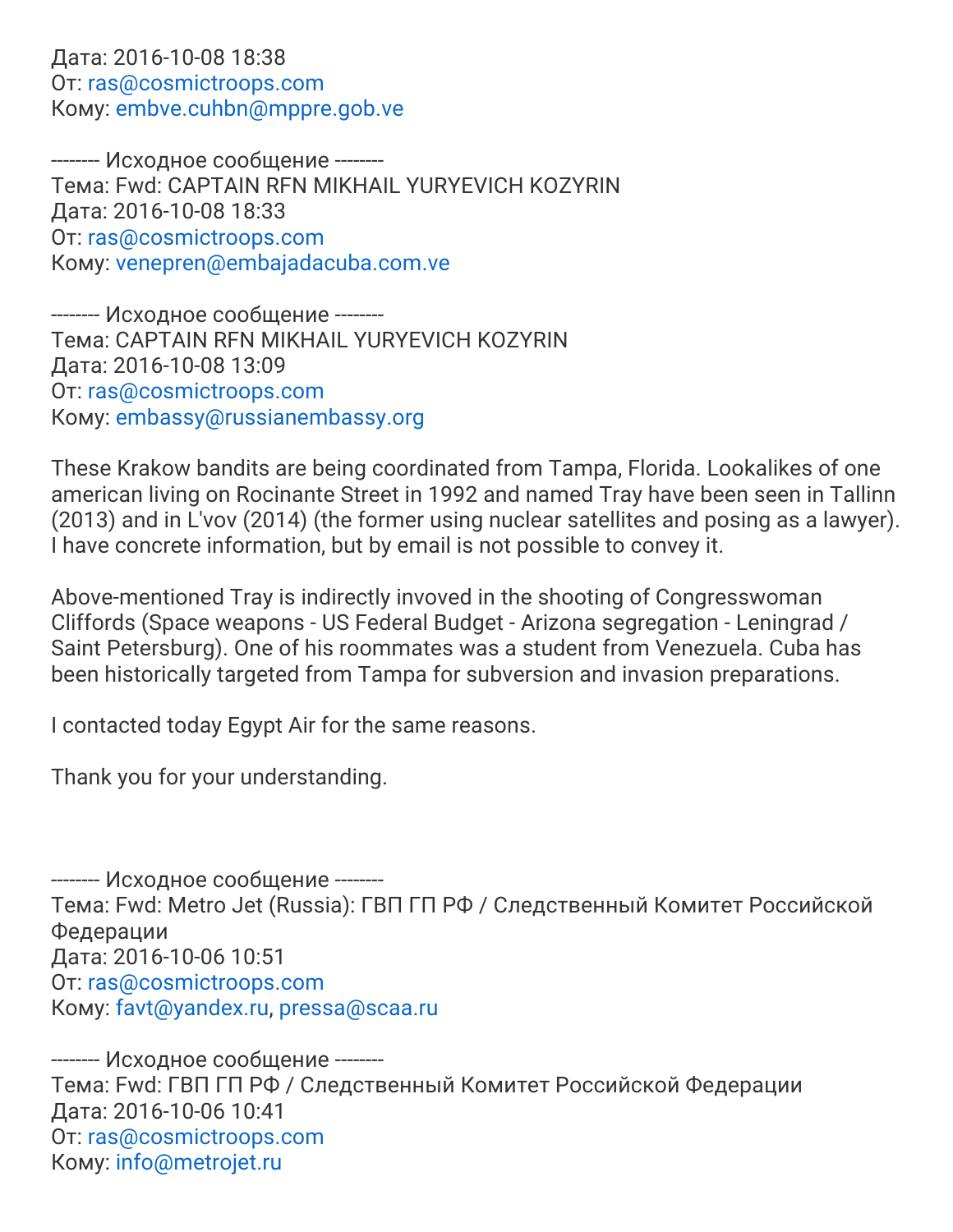#### Дата: 2016-10-08 18:38 От: [ras@cosmictroops.com](mailto:ras@cosmictroops.com) Кому: [embve.cuhbn@mppre.gob.ve](mailto:embve.cuhbn@mppre.gob.ve)

-------- Исходное сообщение -------- Тема: Fwd: CAPTAIN RFN MIKHAIL YURYEVICH KOZYRIN Дата: 2016-10-08 18:33 От: [ras@cosmictroops.com](mailto:ras@cosmictroops.com) Кому: [venepren@embajadacuba.com.ve](mailto:venepren@embajadacuba.com.ve)

-------- Исходное сообщение -------- Тема: CAPTAIN RFN MIKHAIL YURYEVICH KOZYRIN Дата: 2016-10-08 13:09 От: [ras@cosmictroops.com](mailto:ras@cosmictroops.com) Кому: [embassy@russianembassy.org](mailto:embassy@russianembassy.org)

These Krakow bandits are being coordinated from Tampa, Florida. Lookalikes of one american living on Rocinante Street in 1992 and named Tray have been seen in Tallinn (2013) and in L'vov (2014) (the former using nuclear satellites and posing as a lawyer). I have concrete information, but by email is not possible to convey it.

Above-mentioned Tray is indirectly invoved in the shooting of Congresswoman Cliffords (Space weapons - US Federal Budget - Arizona segregation - Leningrad / Saint Petersburg). One of his roommates was a student from Venezuela. Cuba has been historically targeted from Tampa for subversion and invasion preparations.

I contacted today Egypt Air for the same reasons.

Thank you for your understanding.

-------- Исходное сообщение -------- Тема: Fwd: Metro Jet (Russia): ГВП ГП РФ / Следственный Комитет Российской Федерации Дата: 2016-10-06 10:51 От: [ras@cosmictroops.com](mailto:ras@cosmictroops.com) Кому: [favt@yandex.ru,](mailto:favt@yandex.ru) [pressa@scaa.ru](mailto:pressa@scaa.ru)

-------- Исходное сообщение -------- Тема: Fwd: ГВП ГП РФ / Следственный Комитет Российской Федерации Дата: 2016-10-06 10:41 От: [ras@cosmictroops.com](mailto:ras@cosmictroops.com) Кому: [info@metrojet.ru](mailto:info@metrojet.ru)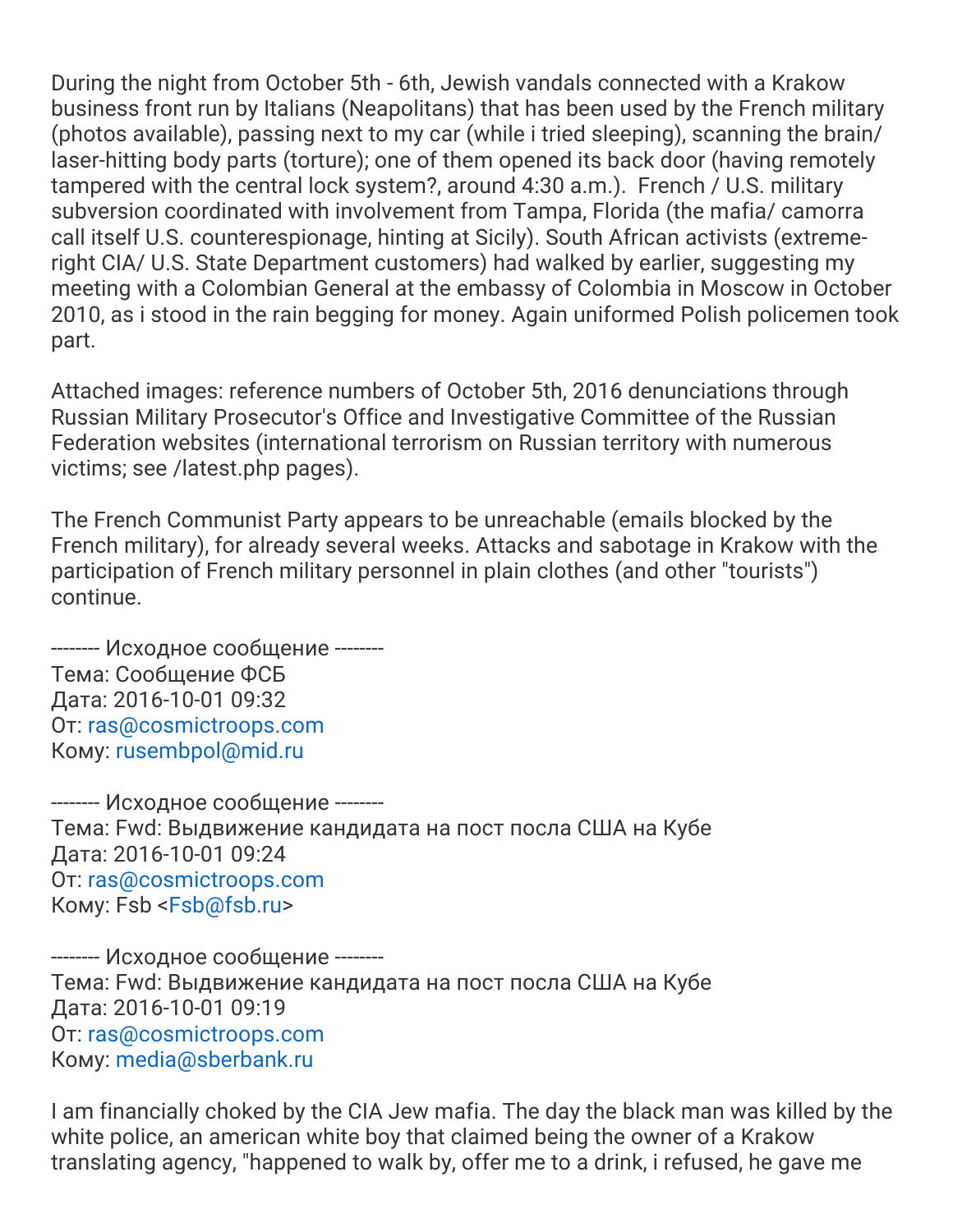During the night from October 5th - 6th, Jewish vandals connected with a Krakow business front run by Italians (Neapolitans) that has been used by the French military (photos available), passing next to my car (while i tried sleeping), scanning the brain/ laser-hitting body parts (torture); one of them opened its back door (having remotely tampered with the central lock system?, around 4:30 a.m.). French / U.S. military subversion coordinated with involvement from Tampa, Florida (the mafia/ camorra call itself U.S. counterespionage, hinting at Sicily). South African activists (extremeright CIA/ U.S. State Department customers) had walked by earlier, suggesting my meeting with a Colombian General at the embassy of Colombia in Moscow in October 2010, as i stood in the rain begging for money. Again uniformed Polish policemen took part.

Attached images: reference numbers of October 5th, 2016 denunciations through Russian Military Prosecutor's Office and Investigative Committee of the Russian Federation websites (international terrorism on Russian territory with numerous victims; see /latest.php pages).

The French Communist Party appears to be unreachable (emails blocked by the French military), for already several weeks. Attacks and sabotage in Krakow with the participation of French military personnel in plain clothes (and other "tourists") continue.

-------- Исходное сообщение -------- Тема: Сообщение ФСБ Дата: 2016-10-01 09:32 От: [ras@cosmictroops.com](mailto:ras@cosmictroops.com) Кому: [rusembpol@mid.ru](mailto:rusembpol@mid.ru)

-------- Исходное сообщение -------- Тема: Fwd: Выдвижение кандидата на пост посла США на Кубе Дата: 2016-10-01 09:24 От: [ras@cosmictroops.com](mailto:ras@cosmictroops.com) Кому: Fsb <[Fsb@fsb.ru](mailto:Fsb@fsb.ru)>

-------- Исходное сообщение -------- Тема: Fwd: Выдвижение кандидата на пост посла США на Кубе Дата: 2016-10-01 09:19 От: [ras@cosmictroops.com](mailto:ras@cosmictroops.com) Кому: [media@sberbank.ru](mailto:media@sberbank.ru)

I am financially choked by the CIA Jew mafia. The day the black man was killed by the white police, an american white boy that claimed being the owner of a Krakow translating agency, "happened to walk by, offer me to a drink, i refused, he gave me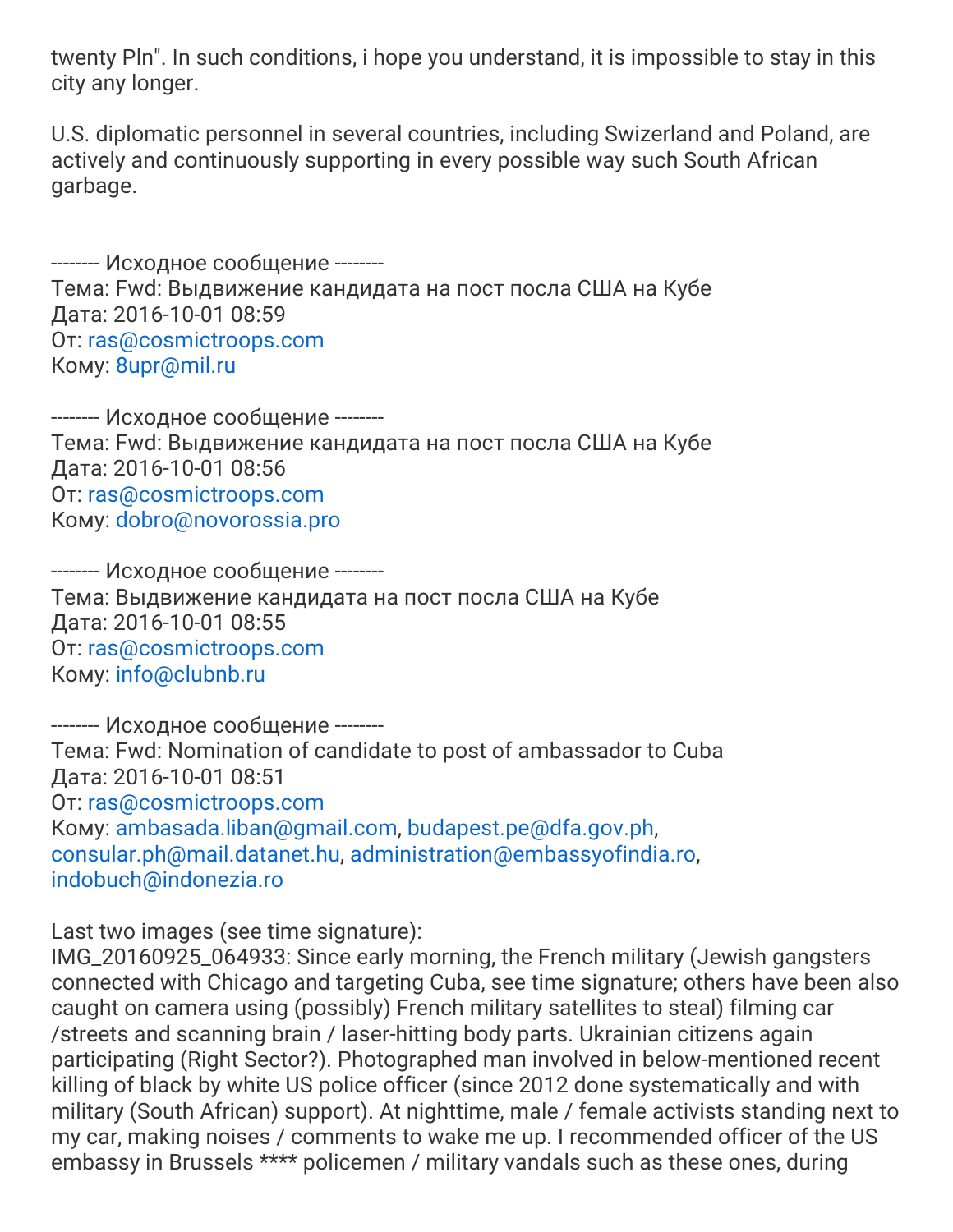twenty Pln". In such conditions, i hope you understand, it is impossible to stay in this city any longer.

U.S. diplomatic personnel in several countries, including Swizerland and Poland, are actively and continuously supporting in every possible way such South African garbage.

-------- Исходное сообщение -------- Тема: Fwd: Выдвижение кандидата на пост посла США на Кубе Дата: 2016-10-01 08:59 От: [ras@cosmictroops.com](mailto:ras@cosmictroops.com) Кому: [8upr@mil.ru](mailto:8upr@mil.ru)

-------- Исходное сообщение -------- Тема: Fwd: Выдвижение кандидата на пост посла США на Кубе Дата: 2016-10-01 08:56 От: [ras@cosmictroops.com](mailto:ras@cosmictroops.com) Кому: [dobro@novorossia.pro](mailto:dobro@novorossia.pro)

-------- Исходное сообщение -------- Тема: Выдвижение кандидата на пост посла США на Кубе Дата: 2016-10-01 08:55 От: [ras@cosmictroops.com](mailto:ras@cosmictroops.com) Кому: [info@clubnb.ru](mailto:info@clubnb.ru)

-------- Исходное сообщение -------- Тема: Fwd: Nomination of candidate to post of ambassador to Cuba Дата: 2016-10-01 08:51 От: [ras@cosmictroops.com](mailto:ras@cosmictroops.com) Кому: [ambasada.liban@gmail.com,](mailto:ambasada.liban@gmail.com) [budapest.pe@dfa.gov.ph](mailto:budapest.pe@dfa.gov.ph), [consular.ph@mail.datanet.hu,](mailto:consular.ph@mail.datanet.hu) [administration@embassyofindia.ro](mailto:administration@embassyofindia.ro), [indobuch@indonezia.ro](mailto:indobuch@indonezia.ro)

Last two images (see time signature):

IMG\_20160925\_064933: Since early morning, the French military (Jewish gangsters connected with Chicago and targeting Cuba, see time signature; others have been also caught on camera using (possibly) French military satellites to steal) filming car /streets and scanning brain / laser-hitting body parts. Ukrainian citizens again participating (Right Sector?). Photographed man involved in below-mentioned recent killing of black by white US police officer (since 2012 done systematically and with military (South African) support). At nighttime, male / female activists standing next to my car, making noises / comments to wake me up. I recommended officer of the US embassy in Brussels \*\*\*\* policemen / military vandals such as these ones, during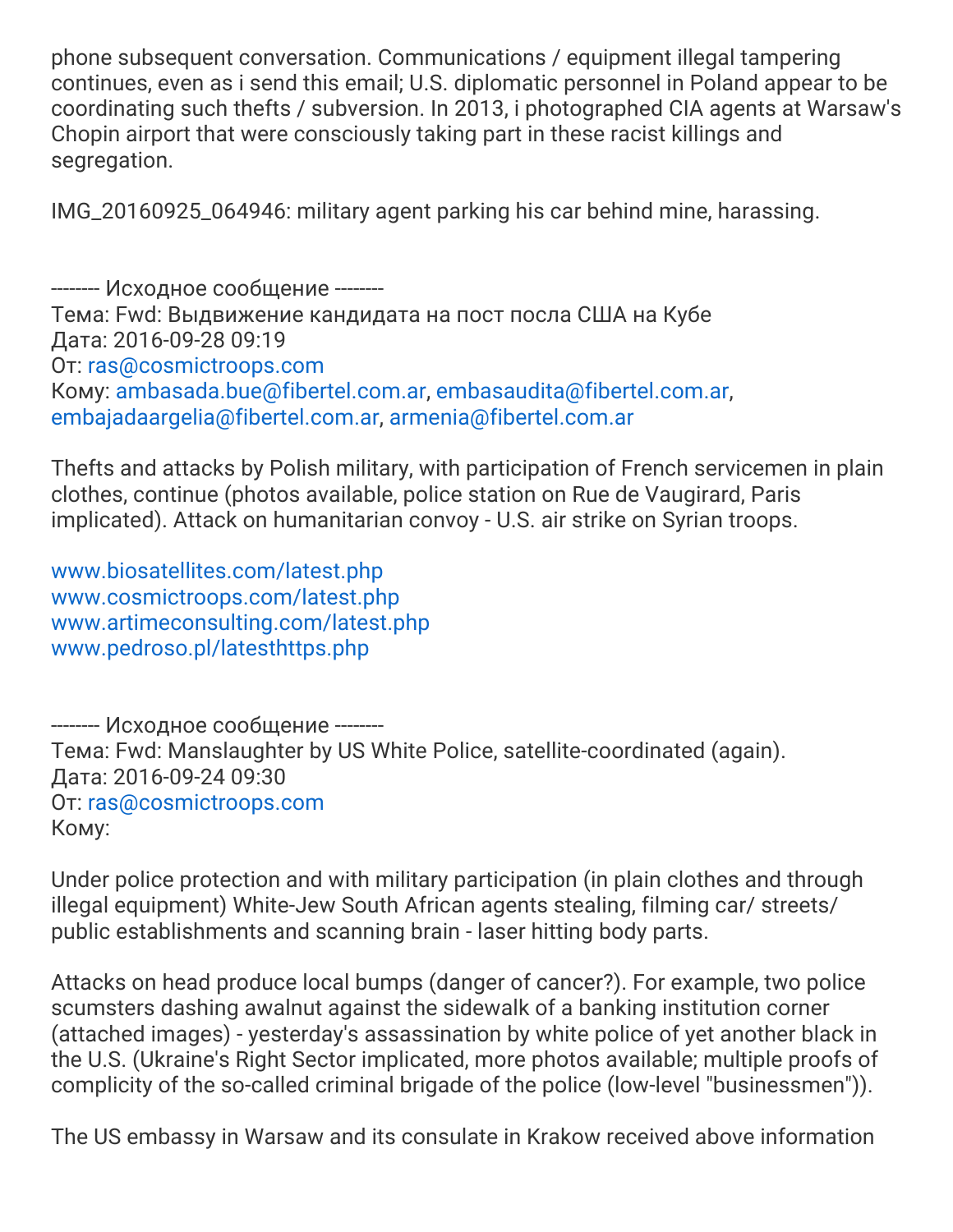phone subsequent conversation. Communications / equipment illegal tampering continues, even as i send this email; U.S. diplomatic personnel in Poland appear to be coordinating such thefts / subversion. In 2013, i photographed CIA agents at Warsaw's Chopin airport that were consciously taking part in these racist killings and segregation.

IMG\_20160925\_064946: military agent parking his car behind mine, harassing.

-------- Исходное сообщение -------- Тема: Fwd: Выдвижение кандидата на пост посла США на Кубе Дата: 2016-09-28 09:19 От: [ras@cosmictroops.com](mailto:ras@cosmictroops.com) Кому: [ambasada.bue@fibertel.com.ar](mailto:ambasada.bue@fibertel.com.ar), [embasaudita@fibertel.com.ar](mailto:embasaudita@fibertel.com.ar), [embajadaargelia@fibertel.com.ar,](mailto:embajadaargelia@fibertel.com.ar) [armenia@fibertel.com.ar](mailto:armenia@fibertel.com.ar)

Thefts and attacks by Polish military, with participation of French servicemen in plain clothes, continue (photos available, police station on Rue de Vaugirard, Paris implicated). Attack on humanitarian convoy - U.S. air strike on Syrian troops.

[www.biosatellites.com/latest.php](http://www.biosatellites.com/latest.php) [www.cosmictroops.com/latest.php](http://www.cosmictroops.com/latest.php) [www.artimeconsulting.com/latest.php](http://www.artimeconsulting.com/latest.php) [www.pedroso.pl/latesthttps.php](http://www.pedroso.pl/latesthttps.php)

-------- Исходное сообщение -------- Тема: Fwd: Manslaughter by US White Police, satellite-coordinated (again). Дата: 2016-09-24 09:30 От: [ras@cosmictroops.com](mailto:ras@cosmictroops.com) Кому:

Under police protection and with military participation (in plain clothes and through illegal equipment) White-Jew South African agents stealing, filming car/ streets/ public establishments and scanning brain - laser hitting body parts.

Attacks on head produce local bumps (danger of cancer?). For example, two police scumsters dashing awalnut against the sidewalk of a banking institution corner (attached images) - yesterday's assassination by white police of yet another black in the U.S. (Ukraine's Right Sector implicated, more photos available; multiple proofs of complicity of the so-called criminal brigade of the police (low-level "businessmen")).

The US embassy in Warsaw and its consulate in Krakow received above information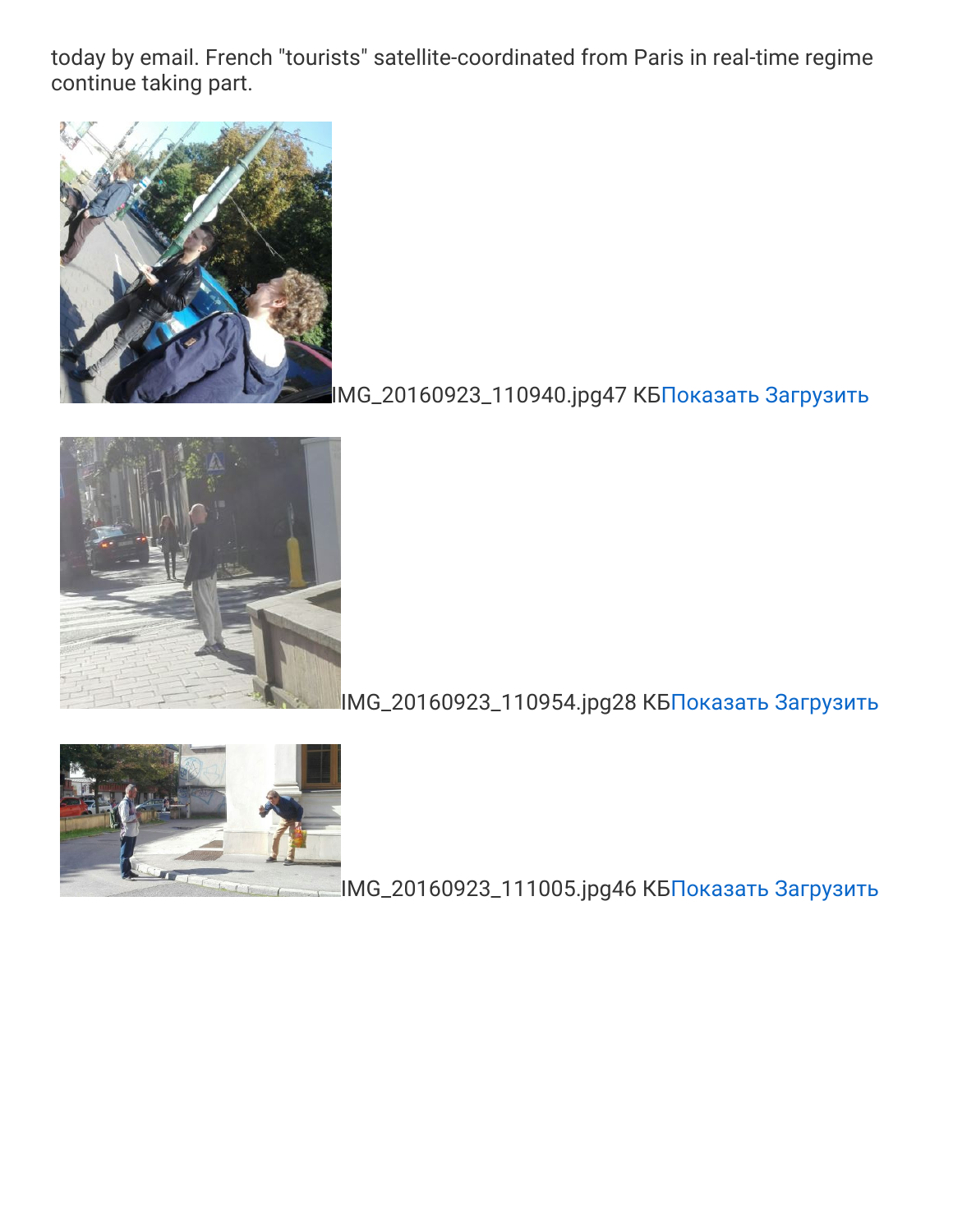today by email. French "tourists" satellite-coordinated from Paris in real-time regime continue taking part.



## [I](https://webmail.hosting.reg.ru/?_task=mail&_action=get&_mbox=Sent&_uid=131748&_token=1Ga3eP52kHXQejySPIu8YUR8mZINXvjM&_part=2)MG\_20160923\_110940.jpg47 КБ[Показать](https://webmail.hosting.reg.ru/?_task=mail&_action=get&_mbox=Sent&_uid=131748&_token=1Ga3eP52kHXQejySPIu8YUR8mZINXvjM&_part=2) [Загрузить](https://webmail.hosting.reg.ru/?_task=mail&_action=get&_mbox=Sent&_uid=131748&_token=1Ga3eP52kHXQejySPIu8YUR8mZINXvjM&_part=2&_download=1)



### IMG\_20160923\_110954.jpg28 КБ[Показать](https://webmail.hosting.reg.ru/?_task=mail&_action=get&_mbox=Sent&_uid=131748&_token=1Ga3eP52kHXQejySPIu8YUR8mZINXvjM&_part=3) [Загрузить](https://webmail.hosting.reg.ru/?_task=mail&_action=get&_mbox=Sent&_uid=131748&_token=1Ga3eP52kHXQejySPIu8YUR8mZINXvjM&_part=3&_download=1)



IMG\_20160923\_111005.jpg46 КБ[Показать](https://webmail.hosting.reg.ru/?_task=mail&_action=get&_mbox=Sent&_uid=131748&_token=1Ga3eP52kHXQejySPIu8YUR8mZINXvjM&_part=4) [Загрузить](https://webmail.hosting.reg.ru/?_task=mail&_action=get&_mbox=Sent&_uid=131748&_token=1Ga3eP52kHXQejySPIu8YUR8mZINXvjM&_part=4&_download=1)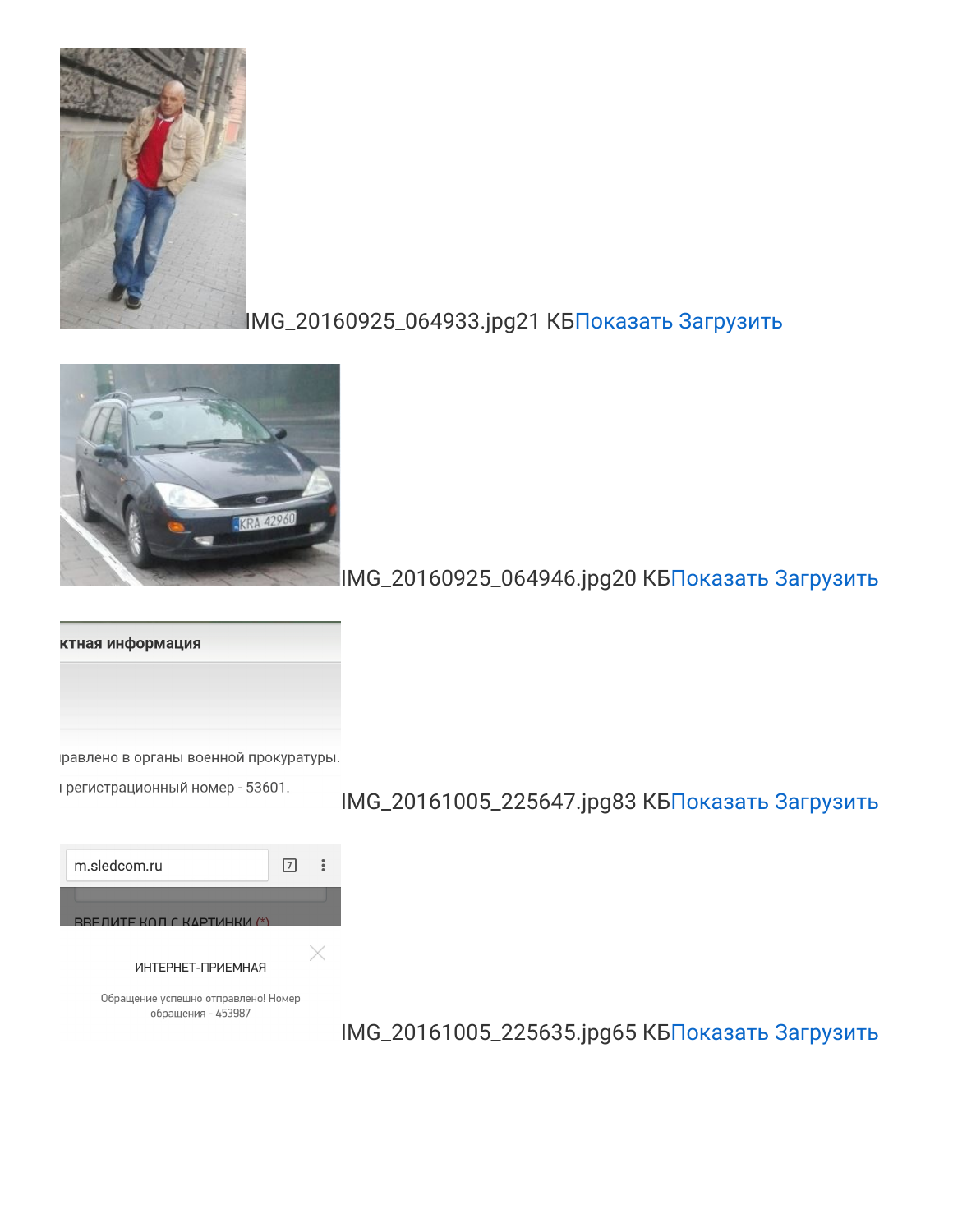

IMG\_20160925\_064946.jpg20 КБ[Показать](https://webmail.hosting.reg.ru/?_task=mail&_action=get&_mbox=Sent&_uid=131748&_token=1Ga3eP52kHXQejySPIu8YUR8mZINXvjM&_part=6) [Загрузить](https://webmail.hosting.reg.ru/?_task=mail&_action=get&_mbox=Sent&_uid=131748&_token=1Ga3eP52kHXQejySPIu8YUR8mZINXvjM&_part=6&_download=1)

ктная информация

равлено в органы военной прокуратуры.

грегистрационный номер - 53601.

| m.sledcom.ru<br>17                                        |  |
|-----------------------------------------------------------|--|
| RRE ΠΙΛΤΕ ΚΩΠ Γ ΚΛΡΤΙΛΗΚΙΛ (*)                            |  |
| ИНТЕРНЕТ-ПРИЕМНАЯ                                         |  |
| Обращение успешно отправлено! Номер<br>обращения - 453987 |  |

# IMG\_20161005\_225647.jpg83 КБ[Показать](https://webmail.hosting.reg.ru/?_task=mail&_action=get&_mbox=Sent&_uid=131748&_token=1Ga3eP52kHXQejySPIu8YUR8mZINXvjM&_part=7) [Загрузить](https://webmail.hosting.reg.ru/?_task=mail&_action=get&_mbox=Sent&_uid=131748&_token=1Ga3eP52kHXQejySPIu8YUR8mZINXvjM&_part=7&_download=1)

IMG\_20161005\_225635.jpg65 КБ[Показать](https://webmail.hosting.reg.ru/?_task=mail&_action=get&_mbox=Sent&_uid=131748&_token=1Ga3eP52kHXQejySPIu8YUR8mZINXvjM&_part=8) [Загрузить](https://webmail.hosting.reg.ru/?_task=mail&_action=get&_mbox=Sent&_uid=131748&_token=1Ga3eP52kHXQejySPIu8YUR8mZINXvjM&_part=8&_download=1)